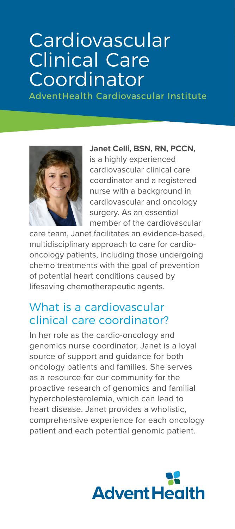# **Cardiovascular** Clinical Care Coordinator

AdventHealth Cardiovascular Institute



**Janet Celli, BSN, RN, PCCN,** is a highly experienced cardiovascular clinical care coordinator and a registered nurse with a background in cardiovascular and oncology surgery. As an essential member of the cardiovascular

care team, Janet facilitates an evidence-based, multidisciplinary approach to care for cardiooncology patients, including those undergoing chemo treatments with the goal of prevention of potential heart conditions caused by lifesaving chemotherapeutic agents.

### What is a cardiovascular clinical care coordinator?

In her role as the cardio-oncology and genomics nurse coordinator, Janet is a loyal source of support and guidance for both oncology patients and families. She serves as a resource for our community for the proactive research of genomics and familial hypercholesterolemia, which can lead to heart disease. Janet provides a wholistic, comprehensive experience for each oncology patient and each potential genomic patient.